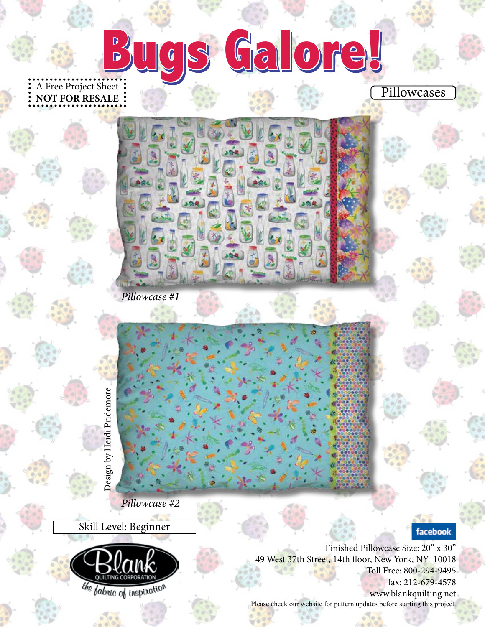A Free Project Sheet: **NOT FOR RESALE Bugs Galore! Bugs Galore!**

*Pillowcase #2*

*Pillowcase #1*

Skill Level: Beginner



Finished Pillowcase Size: 20" x 30" 49 West 37th Street, 14th floor, New York, NY 10018 Toll Free: 800-294-9495 fax: 212-679-4578 www.blankquilting.net

facebook.

Pillowcases

Please check our website for pattern updates before starting this project.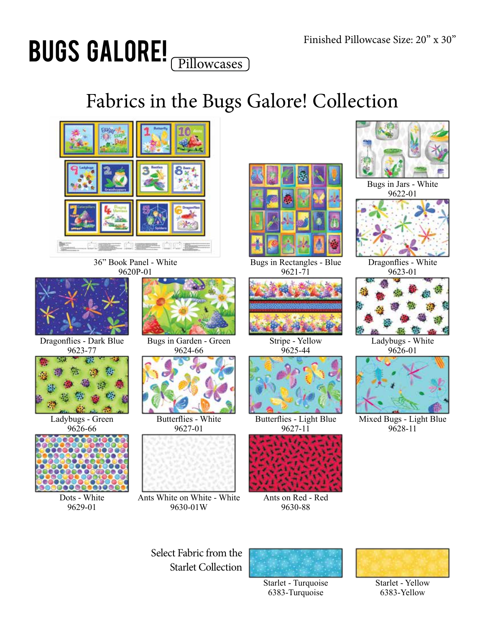## Bugs Galore! Pillowcases

## Fabrics in the Bugs Galore! Collection



36" Book Panel - White 9620P-01



Dragonflies - Dark Blue 9623-77



Ladybugs - Green 9626-66



Dots - White 9629-01



Bugs in Garden - Green 9624-66



Butterflies - White 9627-01



Ants White on White - White 9630-01W



9621-71



Stripe - Yellow 9625-44



Butterflies - Light Blue 9627-11



Ants on Red - Red 9630-88



Bugs in Jars - White 9622-01



Dragonflies - White 9623-01



Ladybugs - White 9626-01



Mixed Bugs - Light Blue 9628-11





Starlet - Turquoise 6383-Turquoise



Starlet - Yellow 6383-Yellow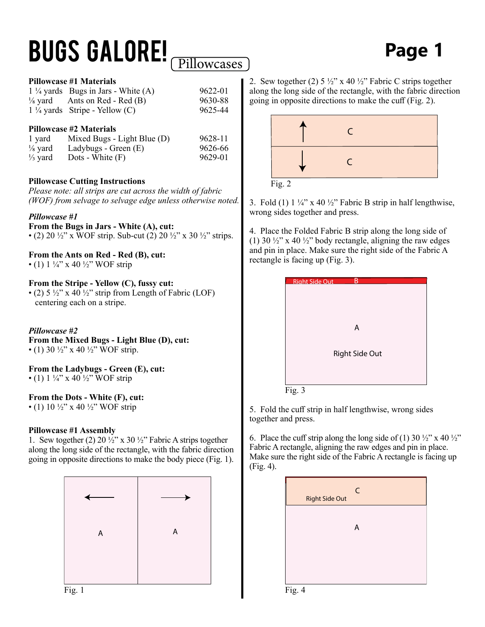# **BUGS GALORE! Page 1** Page 1

#### **Pillowcase #2 Materials**

| 1 yard             | Mixed Bugs - Light Blue (D) | 9628-11 |
|--------------------|-----------------------------|---------|
| $\frac{1}{8}$ yard | Ladybugs - Green (E)        | 9626-66 |
| $\frac{1}{3}$ yard | Dots - White $(F)$          | 9629-01 |

#### **Pillowcase Cutting Instructions**

*Please note: all strips are cut across the width of fabric (WOF) from selvage to selvage edge unless otherwise noted.*

#### *Pillowcase #1*

**From the Bugs in Jars - White (A), cut:** • (2) 20  $\frac{1}{2}$ " x WOF strip. Sub-cut (2) 20  $\frac{1}{2}$ " x 30  $\frac{1}{2}$ " strips.

**From the Ants on Red - Red (B), cut:** • (1)  $1\frac{1}{4}$ " x 40  $\frac{1}{2}$ " WOF strip

#### **From the Stripe - Yellow (C), fussy cut:**

• (2)  $5\frac{1}{2}$ " x  $40\frac{1}{2}$ " strip from Length of Fabric (LOF) centering each on a stripe.

#### *Pillowcase #2*

**From the Mixed Bugs - Light Blue (D), cut:** • (1) 30  $\frac{1}{2}$ " x 40  $\frac{1}{2}$ " WOF strip.

**From the Ladybugs - Green (E), cut:** • (1)  $1\frac{1}{4}$ " x 40  $\frac{1}{2}$ " WOF strip

#### **From the Dots - White (F), cut:**

• (1) 10  $\frac{1}{2}$ " x 40  $\frac{1}{2}$ " WOF strip

#### **Pillowcase #1 Assembly**

1. Sew together (2) 20  $\frac{1}{2}$ " x 30  $\frac{1}{2}$ " Fabric A strips together along the long side of the rectangle, with the fabric direction going in opposite directions to make the body piece (Fig. 1).



2. Sew together (2)  $5\frac{1}{2}$ " x 40  $\frac{1}{2}$ " Fabric C strips together along the long side of the rectangle, with the fabric direction going in opposite directions to make the cuff (Fig. 2).



Fig. 2

3. Fold (1)  $1\frac{1}{4}$ " x 40  $\frac{1}{2}$ " Fabric B strip in half lengthwise, wrong sides together and press.

4. Place the Folded Fabric B strip along the long side of (1) 30  $\frac{1}{2}$ " x 40  $\frac{1}{2}$ " body rectangle, aligning the raw edges and pin in place. Make sure the right side of the Fabric A rectangle is facing up (Fig. 3).

| <b>Right Side Out</b> |                |  |
|-----------------------|----------------|--|
|                       |                |  |
|                       |                |  |
|                       |                |  |
|                       | A              |  |
|                       |                |  |
|                       |                |  |
|                       | Right Side Out |  |
|                       |                |  |
|                       |                |  |
| Fig. 3                |                |  |

5. Fold the cuff strip in half lengthwise, wrong sides together and press.

6. Place the cuff strip along the long side of (1) 30  $\frac{1}{2}$ " x 40  $\frac{1}{2}$ " Fabric A rectangle, aligning the raw edges and pin in place. Make sure the right side of the Fabric A rectangle is facing up (Fig. 4).



Fig. 1